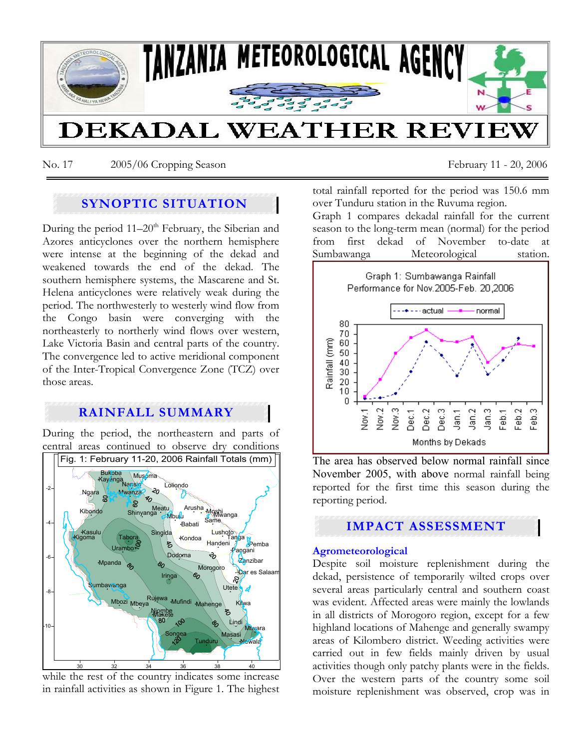

No. 17 2005/06 Cropping Season February 11 - 20, 2006

# **SYNOPTIC SITUATION**

During the period  $11-20<sup>th</sup>$  February, the Siberian and Azores anticyclones over the northern hemisphere were intense at the beginning of the dekad and weakened towards the end of the dekad. The southern hemisphere systems, the Mascarene and St. Helena anticyclones were relatively weak during the period. The northwesterly to westerly wind flow from the Congo basin were converging with the northeasterly to northerly wind flows over western, Lake Victoria Basin and central parts of the country. The convergence led to active meridional component of the Inter-Tropical Convergence Zone (TCZ) over those areas.

# **RAINFALL SUMMARY**

During the period, the northeastern and parts of central areas continued to observe dry conditions



while the rest of the country indicates some increase in rainfall activities as shown in Figure 1. The highest

total rainfall reported for the period was 150.6 mm over Tunduru station in the Ruvuma region.

Graph 1 compares dekadal rainfall for the current season to the long-term mean (normal) for the period from first dekad of November to-date at Sumbawanga Meteorological station.



The area has observed below normal rainfall since November 2005, with above normal rainfall being reported for the first time this season during the reporting period.

# **IMPACT ASSESSMENT**

## **Agrometeorological**

Despite soil moisture replenishment during the dekad, persistence of temporarily wilted crops over several areas particularly central and southern coast was evident. Affected areas were mainly the lowlands in all districts of Morogoro region, except for a few highland locations of Mahenge and generally swampy areas of Kilombero district. Weeding activities were carried out in few fields mainly driven by usual activities though only patchy plants were in the fields. Over the western parts of the country some soil moisture replenishment was observed, crop was in